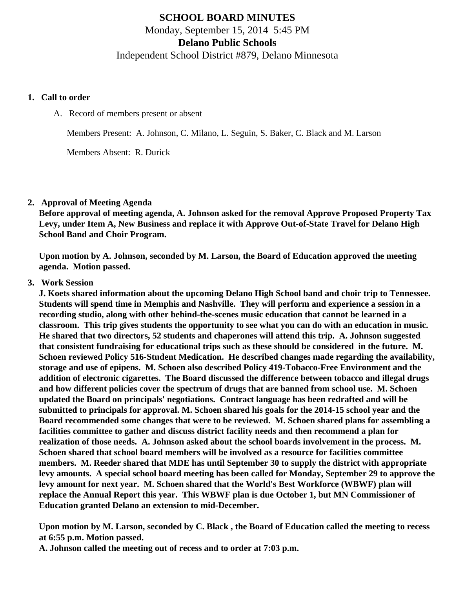# **SCHOOL BOARD MINUTES** Monday, September 15, 2014 5:45 PM **Delano Public Schools**

# Independent School District #879, Delano Minnesota

#### **1. Call to order**

### A. Record of members present or absent

Members Present: A. Johnson, C. Milano, L. Seguin, S. Baker, C. Black and M. Larson

Members Absent: R. Durick

## **2. Approval of Meeting Agenda**

**Before approval of meeting agenda, A. Johnson asked for the removal Approve Proposed Property Tax Levy, under Item A, New Business and replace it with Approve Out-of-State Travel for Delano High School Band and Choir Program.**

**Upon motion by A. Johnson, seconded by M. Larson, the Board of Education approved the meeting agenda. Motion passed.**

## **3. Work Session**

**J. Koets shared information about the upcoming Delano High School band and choir trip to Tennessee. Students will spend time in Memphis and Nashville. They will perform and experience a session in a recording studio, along with other behind-the-scenes music education that cannot be learned in a classroom. This trip gives students the opportunity to see what you can do with an education in music. He shared that two directors, 52 students and chaperones will attend this trip. A. Johnson suggested that consistent fundraising for educational trips such as these should be considered in the future. M. Schoen reviewed Policy 516-Student Medication. He described changes made regarding the availability, storage and use of epipens. M. Schoen also described Policy 419-Tobacco-Free Environment and the addition of electronic cigarettes. The Board discussed the difference between tobacco and illegal drugs and how different policies cover the spectrum of drugs that are banned from school use. M. Schoen updated the Board on principals' negotiations. Contract language has been redrafted and will be submitted to principals for approval. M. Schoen shared his goals for the 2014-15 school year and the Board recommended some changes that were to be reviewed. M. Schoen shared plans for assembling a facilities committee to gather and discuss district facility needs and then recommend a plan for realization of those needs. A. Johnson asked about the school boards involvement in the process. M. Schoen shared that school board members will be involved as a resource for facilities committee members. M. Reeder shared that MDE has until September 30 to supply the district with appropriate levy amounts. A special school board meeting has been called for Monday, September 29 to approve the levy amount for next year. M. Schoen shared that the World's Best Workforce (WBWF) plan will replace the Annual Report this year. This WBWF plan is due October 1, but MN Commissioner of Education granted Delano an extension to mid-December.** 

**Upon motion by M. Larson, seconded by C. Black , the Board of Education called the meeting to recess at 6:55 p.m. Motion passed.**

**A. Johnson called the meeting out of recess and to order at 7:03 p.m.**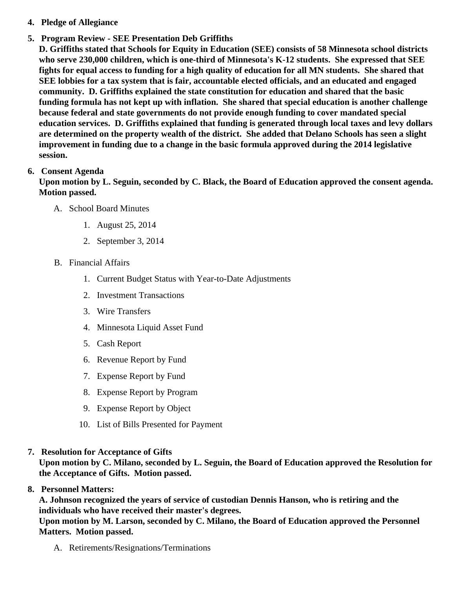- 4. Pledge of Allegiance
- 5. Program Review SEE Presentation Deb Griffiths

D. Griffiths stated that Schools for Equity in Education (SEE) consists of 58 Minnesota school districts who serve 230,000 children, which is one-third of Minnesota's K-12 students. She expressed that SEE fights for equal access to funding for a high quality of education for all MN students. She shared that SEE lobbies for a tax system that is fair, accountable elected officials, and an educated and engaged community. D. Griffiths explained the state constitution for education and shared that the basic funding formula has not kept up with inflation. She shared that special education is another challenge because federal and state governments do not provide enough funding to cover mandated special education services. D. Griffiths explained that funding is generated through local taxes and levy dollars are determined on the property wealth of the district. She added that Delano Schools has seen a slight improvement in funding due to a change in the basic formula approved during the 2014 legislative session.

# 6. Consent Agenda

Upon motion by L. Seguin, seconded by C. Black, the Board of Education approved the consent agenda. Motion passed.

- A. School Board Minutes
	- 1. [August 25, 201](/docs/district/Business_Office/School_Board_Minutes_8.25.14.pdf)4
	- 2. [September 3, 201](/docs/district/Business_Office/School_Board_Special_Session_Minutes_9.3.14.pdf)4
- B. Financial Affairs
	- 1. [Current Budget Status with Year-to-Date Adjustm](/docs/district/Business_Office/Budget_Report_Sept_14.pdf)ents
	- 2. [Investment Transactio](/docs/district/Business_Office/Investment_schedule_14-15.pdf)ns
	- 3. [Wire Transfer](/docs/district/Business_Office/Wire_Transfer.pdf )s
	- 4. [Minnesota Liquid Asset Fun](/docs/district/Business_Office/Liquid_Asset_Fund_FY15.pdf)d
	- 5. [Cash Repo](/docs/district/Business_Office/Cash_Report.pdf)rt
	- 6. [Revenue Report by Fu](/docs/district/Business_Office/SCHOOL_BOARD_REPORTS_-_REVENUE_BY_FUND_TOTAL__(Date__6_2015).pdf)nd
	- 7. [Expense Report by Fu](/docs/district/Business_Office/SCHOOL_BOARD_REPORTS_-_EXP_BY_FUND_TOTAL__(Date__6_2015).pdf)nd
	- 8. [Expense Report by Progra](/docs/district/Business_Office/SCHOOL_BOARD_REPORTS_-_EXPENDITURES_BY_PROGRAM__(Date__6_2015).pdf)m
	- 9. [Expense Report by Obje](/docs/district/Business_Office/SCHOOL_BOARD_REPORTS_-_EXPENDITURES_BY_OBJECT__(Date__6_2015).pdf)ct
	- 10. [List of Bills Presented for Payme](/docs/district/Business_Office/Detail_of_Monthly_Bills_Paid.pdf)nt
- 7. [Resolution for Acceptance of Gifts](/docs/district/Business_Office/Resolution_for_Acceptance_of_Gifts_9.15.14.pdf)

Upon motion by C. Milano, seconded by L. Seguin, the Board of Education approved the Resolution for the Acceptance of Gifts. Motion passed.

# 8. Personnel Matters:

A. Johnson recognized the years of service of custodian Dennis Hanson, who is retiring and the individuals who have received their master's degrees.

Upon motion by M. Larson, seconded by C. Milano, the Board of Education approved the Personnel Matters. Motion passed.

A. Retirements/Resignations/Terminations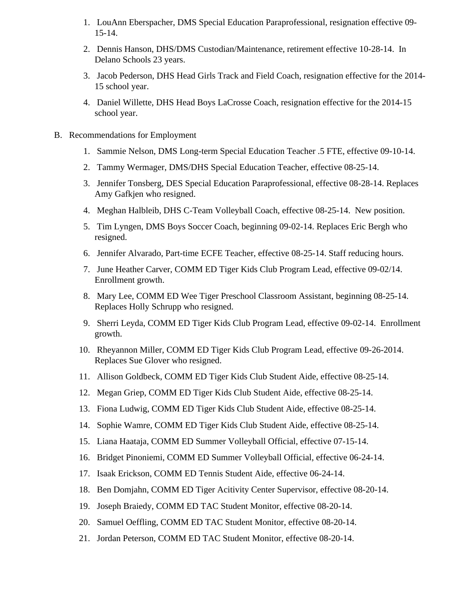- 1. LouAnn Eberspacher, DMS Special Education Paraprofessional, resignation effective 09- 15-14.
- 2. Dennis Hanson, DHS/DMS Custodian/Maintenance, retirement effective 10-28-14. In Delano Schools 23 years.
- 3. Jacob Pederson, DHS Head Girls Track and Field Coach, resignation effective for the 2014- 15 school year.
- 4. Daniel Willette, DHS Head Boys LaCrosse Coach, resignation effective for the 2014-15 school year.
- B. Recommendations for Employment
	- 1. Sammie Nelson, DMS Long-term Special Education Teacher .5 FTE, effective 09-10-14.
	- 2. Tammy Wermager, DMS/DHS Special Education Teacher, effective 08-25-14.
	- 3. Jennifer Tonsberg, DES Special Education Paraprofessional, effective 08-28-14. Replaces Amy Gafkjen who resigned.
	- 4. Meghan Halbleib, DHS C-Team Volleyball Coach, effective 08-25-14. New position.
	- 5. Tim Lyngen, DMS Boys Soccer Coach, beginning 09-02-14. Replaces Eric Bergh who resigned.
	- 6. Jennifer Alvarado, Part-time ECFE Teacher, effective 08-25-14. Staff reducing hours.
	- 7. June Heather Carver, COMM ED Tiger Kids Club Program Lead, effective 09-02/14. Enrollment growth.
	- 8. Mary Lee, COMM ED Wee Tiger Preschool Classroom Assistant, beginning 08-25-14. Replaces Holly Schrupp who resigned.
	- 9. Sherri Leyda, COMM ED Tiger Kids Club Program Lead, effective 09-02-14. Enrollment growth.
	- 10. Rheyannon Miller, COMM ED Tiger Kids Club Program Lead, effective 09-26-2014. Replaces Sue Glover who resigned.
	- 11. Allison Goldbeck, COMM ED Tiger Kids Club Student Aide, effective 08-25-14.
	- 12. Megan Griep, COMM ED Tiger Kids Club Student Aide, effective 08-25-14.
	- 13. Fiona Ludwig, COMM ED Tiger Kids Club Student Aide, effective 08-25-14.
	- 14. Sophie Wamre, COMM ED Tiger Kids Club Student Aide, effective 08-25-14.
	- 15. Liana Haataja, COMM ED Summer Volleyball Official, effective 07-15-14.
	- 16. Bridget Pinoniemi, COMM ED Summer Volleyball Official, effective 06-24-14.
	- 17. Isaak Erickson, COMM ED Tennis Student Aide, effective 06-24-14.
	- 18. Ben Domjahn, COMM ED Tiger Acitivity Center Supervisor, effective 08-20-14.
	- 19. Joseph Braiedy, COMM ED TAC Student Monitor, effective 08-20-14.
	- 20. Samuel Oeffling, COMM ED TAC Student Monitor, effective 08-20-14.
	- 21. Jordan Peterson, COMM ED TAC Student Monitor, effective 08-20-14.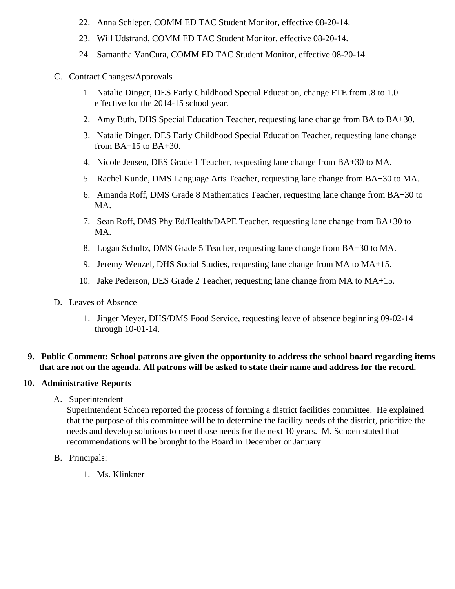- 22. Anna Schleper, COMM ED TAC Student Monitor, effective 08-20-14.
- 23. Will Udstrand, COMM ED TAC Student Monitor, effective 08-20-14.
- 24. Samantha VanCura, COMM ED TAC Student Monitor, effective 08-20-14.

## C. Contract Changes/Approvals

- 1. Natalie Dinger, DES Early Childhood Special Education, change FTE from .8 to 1.0 effective for the 2014-15 school year.
- 2. Amy Buth, DHS Special Education Teacher, requesting lane change from BA to BA+30.
- 3. Natalie Dinger, DES Early Childhood Special Education Teacher, requesting lane change from  $BA+15$  to  $BA+30$ .
- 4. Nicole Jensen, DES Grade 1 Teacher, requesting lane change from BA+30 to MA.
- 5. Rachel Kunde, DMS Language Arts Teacher, requesting lane change from BA+30 to MA.
- 6. Amanda Roff, DMS Grade 8 Mathematics Teacher, requesting lane change from BA+30 to MA.
- 7. Sean Roff, DMS Phy Ed/Health/DAPE Teacher, requesting lane change from BA+30 to MA.
- 8. Logan Schultz, DMS Grade 5 Teacher, requesting lane change from BA+30 to MA.
- 9. Jeremy Wenzel, DHS Social Studies, requesting lane change from MA to MA+15.
- 10. Jake Pederson, DES Grade 2 Teacher, requesting lane change from MA to MA+15.
- D. Leaves of Absence
	- 1. Jinger Meyer, DHS/DMS Food Service, requesting leave of absence beginning 09-02-14 through 10-01-14.

## **9. Public Comment: School patrons are given the opportunity to address the school board regarding items that are not on the agenda. All patrons will be asked to state their name and address for the record.**

## **10. Administrative Reports**

A. Superintendent

Superintendent Schoen reported the process of forming a district facilities committee. He explained that the purpose of this committee will be to determine the facility needs of the district, prioritize the needs and develop solutions to meet those needs for the next 10 years. M. Schoen stated that recommendations will be brought to the Board in December or January.

- B. Principals:
	- 1. Ms. Klinkner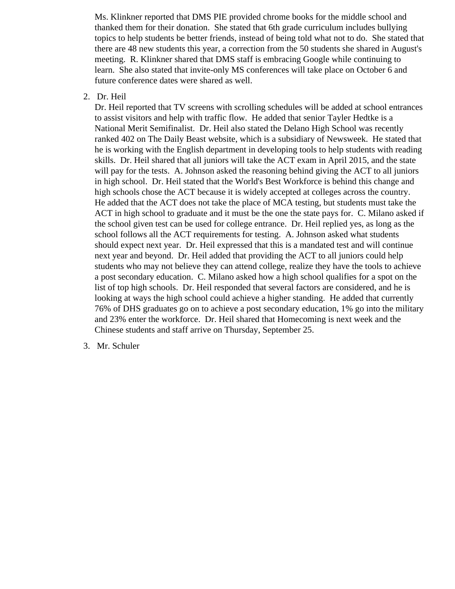Ms. Klinkner reported that DMS PIE provided chrome books for the middle school and thanked them for their donation. She stated that 6th grade curriculum includes bullying topics to help students be better friends, instead of being told what not to do. She stated that there are 48 new students this year, a correction from the 50 students she shared in August's meeting. R. Klinkner shared that DMS staff is embracing Google while continuing to learn. She also stated that invite-only MS conferences will take place on October 6 and future conference dates were shared as well.

#### 2. Dr. Heil

Dr. Heil reported that TV screens with scrolling schedules will be added at school entrances to assist visitors and help with traffic flow. He added that senior Tayler Hedtke is a National Merit Semifinalist. Dr. Heil also stated the Delano High School was recently ranked 402 on The Daily Beast website, which is a subsidiary of Newsweek. He stated that he is working with the English department in developing tools to help students with reading skills. Dr. Heil shared that all juniors will take the ACT exam in April 2015, and the state will pay for the tests. A. Johnson asked the reasoning behind giving the ACT to all juniors in high school. Dr. Heil stated that the World's Best Workforce is behind this change and high schools chose the ACT because it is widely accepted at colleges across the country. He added that the ACT does not take the place of MCA testing, but students must take the ACT in high school to graduate and it must be the one the state pays for. C. Milano asked if the school given test can be used for college entrance. Dr. Heil replied yes, as long as the school follows all the ACT requirements for testing. A. Johnson asked what students should expect next year. Dr. Heil expressed that this is a mandated test and will continue next year and beyond. Dr. Heil added that providing the ACT to all juniors could help students who may not believe they can attend college, realize they have the tools to achieve a post secondary education. C. Milano asked how a high school qualifies for a spot on the list of top high schools. Dr. Heil responded that several factors are considered, and he is looking at ways the high school could achieve a higher standing. He added that currently 76% of DHS graduates go on to achieve a post secondary education, 1% go into the military and 23% enter the workforce. Dr. Heil shared that Homecoming is next week and the Chinese students and staff arrive on Thursday, September 25.

3. Mr. Schuler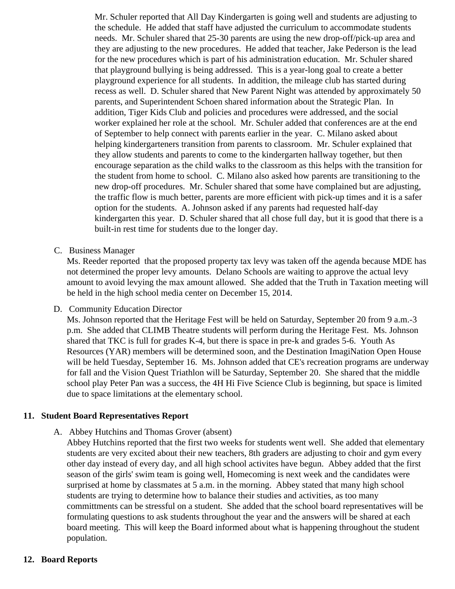Mr. Schuler reported that All Day Kindergarten is going well and students are adjusting to the schedule. He added that staff have adjusted the curriculum to accommodate students needs. Mr. Schuler shared that 25-30 parents are using the new drop-off/pick-up area and they are adjusting to the new procedures. He added that teacher, Jake Pederson is the lead for the new procedures which is part of his administration education. Mr. Schuler shared that playground bullying is being addressed. This is a year-long goal to create a better playground experience for all students. In addition, the mileage club has started during recess as well. D. Schuler shared that New Parent Night was attended by approximately 50 parents, and Superintendent Schoen shared information about the Strategic Plan. In addition, Tiger Kids Club and policies and procedures were addressed, and the social worker explained her role at the school. Mr. Schuler added that conferences are at the end of September to help connect with parents earlier in the year. C. Milano asked about helping kindergarteners transition from parents to classroom. Mr. Schuler explained that they allow students and parents to come to the kindergarten hallway together, but then encourage separation as the child walks to the classroom as this helps with the transition for the student from home to school. C. Milano also asked how parents are transitioning to the new drop-off procedures. Mr. Schuler shared that some have complained but are adjusting, the traffic flow is much better, parents are more efficient with pick-up times and it is a safer option for the students. A. Johnson asked if any parents had requested half-day kindergarten this year. D. Schuler shared that all chose full day, but it is good that there is a built-in rest time for students due to the longer day.

C. Business Manager

Ms. Reeder reported that the proposed property tax levy was taken off the agenda because MDE has not determined the proper levy amounts. Delano Schools are waiting to approve the actual levy amount to avoid levying the max amount allowed. She added that the Truth in Taxation meeting will be held in the high school media center on December 15, 2014.

D. Community Education Director

Ms. Johnson reported that the Heritage Fest will be held on Saturday, September 20 from 9 a.m.-3 p.m. She added that CLIMB Theatre students will perform during the Heritage Fest. Ms. Johnson shared that TKC is full for grades K-4, but there is space in pre-k and grades 5-6. Youth As Resources (YAR) members will be determined soon, and the Destination ImagiNation Open House will be held Tuesday, September 16. Ms. Johnson added that CE's recreation programs are underway for fall and the Vision Quest Triathlon will be Saturday, September 20. She shared that the middle school play Peter Pan was a success, the 4H Hi Five Science Club is beginning, but space is limited due to space limitations at the elementary school.

#### **11. Student Board Representatives Report**

A. Abbey Hutchins and Thomas Grover (absent)

Abbey Hutchins reported that the first two weeks for students went well. She added that elementary students are very excited about their new teachers, 8th graders are adjusting to choir and gym every other day instead of every day, and all high school activites have begun. Abbey added that the first season of the girls' swim team is going well, Homecoming is next week and the candidates were surprised at home by classmates at 5 a.m. in the morning. Abbey stated that many high school students are trying to determine how to balance their studies and activities, as too many committments can be stressful on a student. She added that the school board representatives will be formulating questions to ask students throughout the year and the answers will be shared at each board meeting. This will keep the Board informed about what is happening throughout the student population.

#### **12. Board Reports**